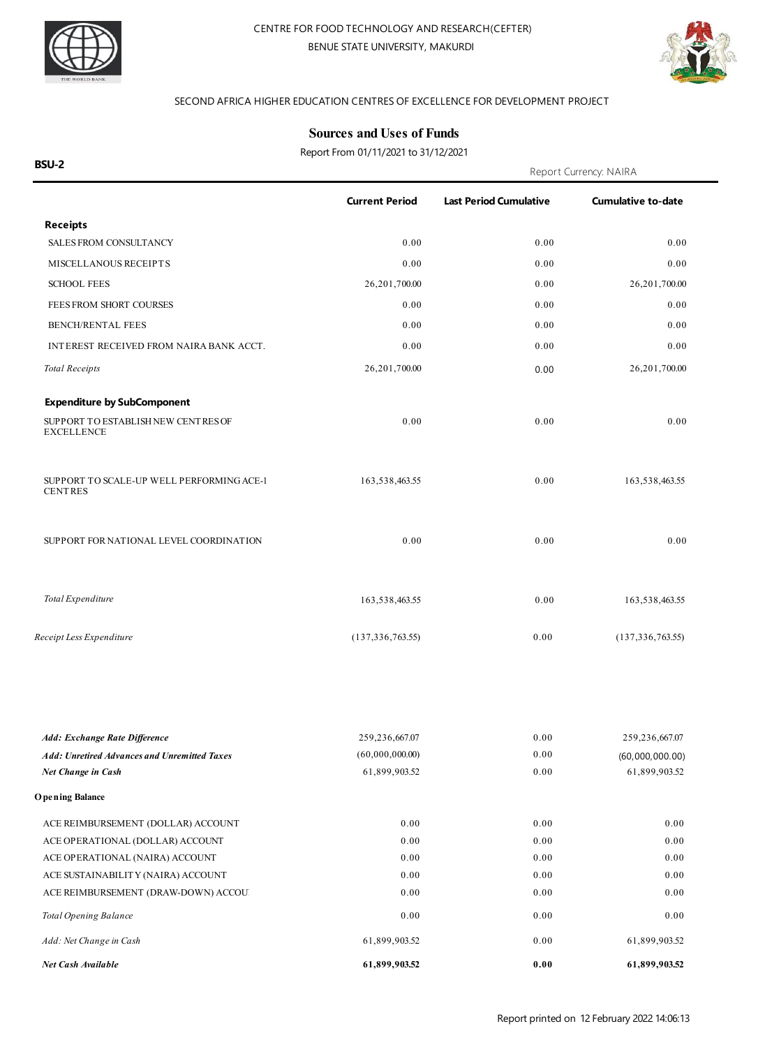



#### SECOND AFRICA HIGHER EDUCATION CENTRES OF EXCELLENCE FOR DEVELOPMENT PROJECT

### **Sources and Uses of Funds**

Report From 01/11/2021 to 31/12/2021

| <b>BSU-2</b>                                                              |                                  | Report Currency: NAIRA        |                                  |
|---------------------------------------------------------------------------|----------------------------------|-------------------------------|----------------------------------|
|                                                                           | <b>Current Period</b>            | <b>Last Period Cumulative</b> | <b>Cumulative to-date</b>        |
| <b>Receipts</b>                                                           |                                  |                               |                                  |
| SALES FROM CONSULTANCY                                                    | 0.00                             | 0.00                          | 0.00                             |
| MISCELLANOUS RECEIPTS                                                     | 0.00                             | 0.00                          | 0.00                             |
| <b>SCHOOL FEES</b>                                                        | 26,201,700.00                    | 0.00                          | 26,201,700.00                    |
| FEES FROM SHORT COURSES                                                   | 0.00                             | 0.00                          | 0.00                             |
| BENCH/RENTAL FEES                                                         | 0.00                             | 0.00                          | 0.00                             |
| INTEREST RECEIVED FROM NAIRA BANK ACCT.                                   | 0.00                             | 0.00                          | 0.00                             |
| <b>Total Receipts</b>                                                     | 26,201,700.00                    | 0.00                          | 26,201,700.00                    |
| <b>Expenditure by SubComponent</b>                                        |                                  |                               |                                  |
| SUPPORT TO ESTABLISH NEW CENTRES OF<br><b>EXCELLENCE</b>                  | 0.00                             | 0.00                          | 0.00                             |
| SUPPORT TO SCALE-UP WELL PERFORMING ACE-1<br><b>CENTRES</b>               | 163,538,463.55                   | 0.00                          | 163,538,463.55                   |
| SUPPORT FOR NATIONAL LEVEL COORDINATION                                   | 0.00                             | 0.00                          | 0.00                             |
| Total Expenditure                                                         | 163,538,463.55                   | 0.00                          | 163,538,463.55                   |
| Receipt Less Expenditure                                                  | (137, 336, 763.55)               | 0.00                          | (137, 336, 763.55)               |
|                                                                           |                                  |                               |                                  |
| Add: Exchange Rate Difference                                             | 259,236,667.07                   | 0.00                          | 259,236,667.07                   |
| <b>Add: Unretired Advances and Unremitted Taxes</b><br>Net Change in Cash | (60,000,000.00)<br>61,899,903.52 | 0.00<br>0.00                  | (60,000,000.00)<br>61,899,903.52 |
| <b>Opening Balance</b>                                                    |                                  |                               |                                  |
| ACE REIMBURSEMENT (DOLLAR) ACCOUNT                                        | 0.00                             | 0.00                          | 0.00                             |
| ACE OPERATIONAL (DOLLAR) ACCOUNT                                          | 0.00                             | 0.00                          | 0.00                             |
| ACE OPERATIONAL (NAIRA) ACCOUNT                                           | 0.00                             | 0.00                          | 0.00                             |
| ACE SUSTAINABILITY (NAIRA) ACCOUNT                                        | 0.00                             | 0.00                          | 0.00                             |
| ACE REIMBURSEMENT (DRAW-DOWN) ACCOU.                                      | 0.00                             | 0.00                          | 0.00                             |
| Total Opening Balance                                                     | 0.00                             | 0.00                          | 0.00                             |
| Add: Net Change in Cash                                                   | 61,899,903.52                    | 0.00                          | 61,899,903.52                    |
| Net Cash Available                                                        | 61,899,903.52                    | 0.00                          | 61,899,903.52                    |